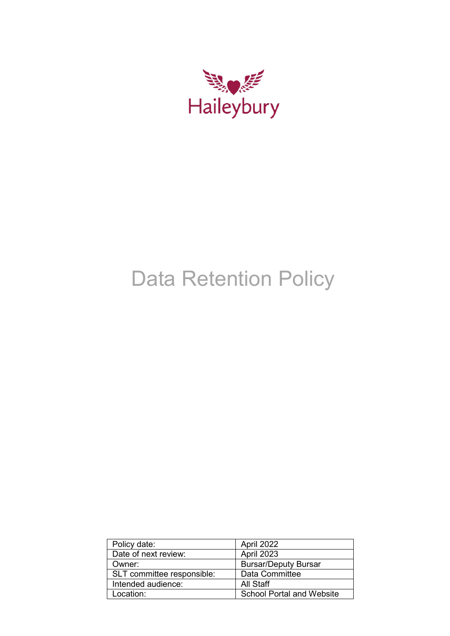

# Data Retention Policy

| Policy date:               | April 2022                       |
|----------------------------|----------------------------------|
| Date of next review:       | April 2023                       |
| Owner:                     | <b>Bursar/Deputy Bursar</b>      |
| SLT committee responsible: | Data Committee                   |
| Intended audience:         | All Staff                        |
| Location:                  | <b>School Portal and Website</b> |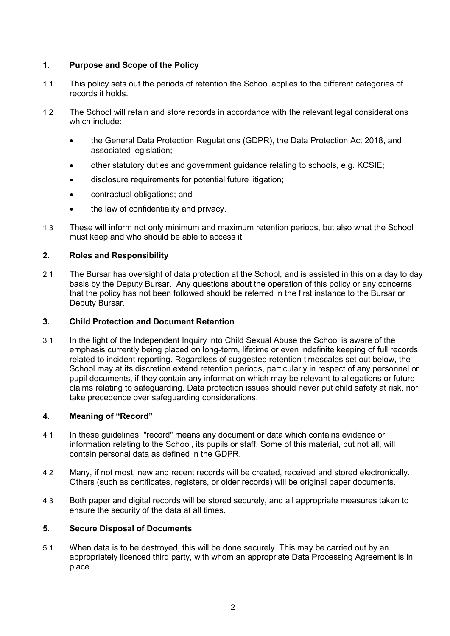# **1. Purpose and Scope of the Policy**

- 1.1 This policy sets out the periods of retention the School applies to the different categories of records it holds.
- 1.2 The School will retain and store records in accordance with the relevant legal considerations which include:
	- the General Data Protection Regulations (GDPR), the Data Protection Act 2018, and associated legislation;
	- other statutory duties and government guidance relating to schools, e.g. KCSIE;
	- disclosure requirements for potential future litigation;
	- contractual obligations; and
	- the law of confidentiality and privacy.
- 1.3 These will inform not only minimum and maximum retention periods, but also what the School must keep and who should be able to access it.

## **2. Roles and Responsibility**

2.1 The Bursar has oversight of data protection at the School, and is assisted in this on a day to day basis by the Deputy Bursar. Any questions about the operation of this policy or any concerns that the policy has not been followed should be referred in the first instance to the Bursar or Deputy Bursar.

## **3. Child Protection and Document Retention**

3.1 In the light of the Independent Inquiry into Child Sexual Abuse the School is aware of the emphasis currently being placed on long-term, lifetime or even indefinite keeping of full records related to incident reporting. Regardless of suggested retention timescales set out below, the School may at its discretion extend retention periods, particularly in respect of any personnel or pupil documents, if they contain any information which may be relevant to allegations or future claims relating to safeguarding. Data protection issues should never put child safety at risk, nor take precedence over safeguarding considerations.

## **4. Meaning of "Record"**

- 4.1 In these guidelines, "record" means any document or data which contains evidence or information relating to the School, its pupils or staff. Some of this material, but not all, will contain personal data as defined in the GDPR.
- 4.2 Many, if not most, new and recent records will be created, received and stored electronically. Others (such as certificates, registers, or older records) will be original paper documents.
- 4.3 Both paper and digital records will be stored securely, and all appropriate measures taken to ensure the security of the data at all times.

## **5. Secure Disposal of Documents**

5.1 When data is to be destroyed, this will be done securely. This may be carried out by an appropriately licenced third party, with whom an appropriate Data Processing Agreement is in place.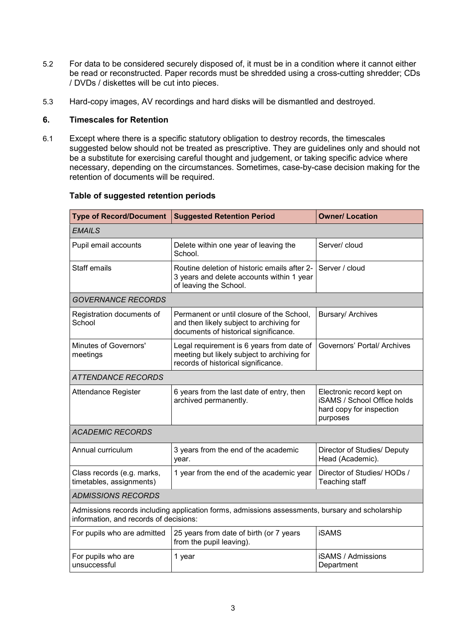- 5.2 For data to be considered securely disposed of, it must be in a condition where it cannot either be read or reconstructed. Paper records must be shredded using a cross-cutting shredder; CDs / DVDs / diskettes will be cut into pieces.
- 5.3 Hard-copy images, AV recordings and hard disks will be dismantled and destroyed.

#### **6. Timescales for Retention**

6.1 Except where there is a specific statutory obligation to destroy records, the timescales suggested below should not be treated as prescriptive. They are guidelines only and should not be a substitute for exercising careful thought and judgement, or taking specific advice where necessary, depending on the circumstances. Sometimes, case-by-case decision making for the retention of documents will be required.

| <b>Type of Record/Document</b>                         | <b>Suggested Retention Period</b>                                                                                               | <b>Owner/ Location</b>                                                                           |  |
|--------------------------------------------------------|---------------------------------------------------------------------------------------------------------------------------------|--------------------------------------------------------------------------------------------------|--|
| <b>EMAILS</b>                                          |                                                                                                                                 |                                                                                                  |  |
| Pupil email accounts                                   | Delete within one year of leaving the<br>School.                                                                                | Server/ cloud                                                                                    |  |
| Staff emails                                           | Routine deletion of historic emails after 2-<br>3 years and delete accounts within 1 year<br>of leaving the School.             | Server / cloud                                                                                   |  |
| <b>GOVERNANCE RECORDS</b>                              |                                                                                                                                 |                                                                                                  |  |
| Registration documents of<br>School                    | Permanent or until closure of the School,<br>and then likely subject to archiving for<br>documents of historical significance.  | Bursary/ Archives                                                                                |  |
| Minutes of Governors'<br>meetings                      | Legal requirement is 6 years from date of<br>meeting but likely subject to archiving for<br>records of historical significance. | Governors' Portal/ Archives                                                                      |  |
| <b>ATTENDANCE RECORDS</b>                              |                                                                                                                                 |                                                                                                  |  |
| Attendance Register                                    | 6 years from the last date of entry, then<br>archived permanently.                                                              | Electronic record kept on<br>iSAMS / School Office holds<br>hard copy for inspection<br>purposes |  |
| <b>ACADEMIC RECORDS</b>                                |                                                                                                                                 |                                                                                                  |  |
| Annual curriculum                                      | 3 years from the end of the academic<br>year.                                                                                   | Director of Studies/ Deputy<br>Head (Academic).                                                  |  |
| Class records (e.g. marks,<br>timetables, assignments) | 1 year from the end of the academic year                                                                                        | Director of Studies/ HODs /<br>Teaching staff                                                    |  |
| <b>ADMISSIONS RECORDS</b>                              |                                                                                                                                 |                                                                                                  |  |
| information, and records of decisions:                 | Admissions records including application forms, admissions assessments, bursary and scholarship                                 |                                                                                                  |  |
| For pupils who are admitted                            | <b>iSAMS</b><br>25 years from date of birth (or 7 years<br>from the pupil leaving).                                             |                                                                                                  |  |
| For pupils who are<br>unsuccessful                     | 1 year                                                                                                                          | <b>iSAMS / Admissions</b><br>Department                                                          |  |

#### **Table of suggested retention periods**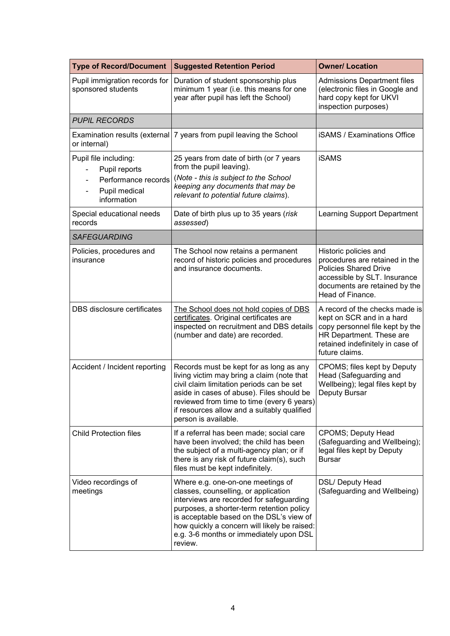| <b>Type of Record/Document</b>                                                                | <b>Suggested Retention Period</b>                                                                                                                                                                                                                                                                                    | <b>Owner/ Location</b>                                                                                                                                                           |  |
|-----------------------------------------------------------------------------------------------|----------------------------------------------------------------------------------------------------------------------------------------------------------------------------------------------------------------------------------------------------------------------------------------------------------------------|----------------------------------------------------------------------------------------------------------------------------------------------------------------------------------|--|
| Pupil immigration records for<br>sponsored students                                           | Duration of student sponsorship plus<br>minimum 1 year (i.e. this means for one<br>year after pupil has left the School)                                                                                                                                                                                             | <b>Admissions Department files</b><br>(electronic files in Google and<br>hard copy kept for UKVI<br>inspection purposes)                                                         |  |
| <b>PUPIL RECORDS</b>                                                                          |                                                                                                                                                                                                                                                                                                                      |                                                                                                                                                                                  |  |
| or internal)                                                                                  | Examination results (external 7 years from pupil leaving the School                                                                                                                                                                                                                                                  | <b>iSAMS / Examinations Office</b>                                                                                                                                               |  |
| Pupil file including:<br>Pupil reports<br>Performance records<br>Pupil medical<br>information | 25 years from date of birth (or 7 years<br>from the pupil leaving).<br>(Note - this is subject to the School<br>keeping any documents that may be<br>relevant to potential future claims).                                                                                                                           | <b>iSAMS</b>                                                                                                                                                                     |  |
| Special educational needs<br>records                                                          | Date of birth plus up to 35 years (risk<br>assessed)                                                                                                                                                                                                                                                                 | Learning Support Department                                                                                                                                                      |  |
| <b>SAFEGUARDING</b>                                                                           |                                                                                                                                                                                                                                                                                                                      |                                                                                                                                                                                  |  |
| Policies, procedures and<br>insurance                                                         | The School now retains a permanent<br>record of historic policies and procedures<br>and insurance documents.                                                                                                                                                                                                         | Historic policies and<br>procedures are retained in the<br><b>Policies Shared Drive</b><br>accessible by SLT. Insurance<br>documents are retained by the<br>Head of Finance.     |  |
| DBS disclosure certificates                                                                   | The School does not hold copies of DBS<br>certificates. Original certificates are<br>inspected on recruitment and DBS details<br>(number and date) are recorded.                                                                                                                                                     | A record of the checks made is<br>kept on SCR and in a hard<br>copy personnel file kept by the<br>HR Department. These are<br>retained indefinitely in case of<br>future claims. |  |
| Accident / Incident reporting                                                                 | Records must be kept for as long as any<br>living victim may bring a claim (note that<br>civil claim limitation periods can be set<br>aside in cases of abuse). Files should be<br>reviewed from time to time (every 6 years)<br>if resources allow and a suitably qualified<br>person is available.                 | CPOMS; files kept by Deputy<br>Head (Safeguarding and<br>Wellbeing); legal files kept by<br>Deputy Bursar                                                                        |  |
| <b>Child Protection files</b>                                                                 | If a referral has been made; social care<br>have been involved; the child has been<br>the subject of a multi-agency plan; or if<br>there is any risk of future claim(s), such<br>files must be kept indefinitely.                                                                                                    | <b>CPOMS; Deputy Head</b><br>(Safeguarding and Wellbeing);<br>legal files kept by Deputy<br><b>Bursar</b>                                                                        |  |
| Video recordings of<br>meetings                                                               | Where e.g. one-on-one meetings of<br>classes, counselling, or application<br>interviews are recorded for safeguarding<br>purposes, a shorter-term retention policy<br>is acceptable based on the DSL's view of<br>how quickly a concern will likely be raised:<br>e.g. 3-6 months or immediately upon DSL<br>review. | DSL/ Deputy Head<br>(Safeguarding and Wellbeing)                                                                                                                                 |  |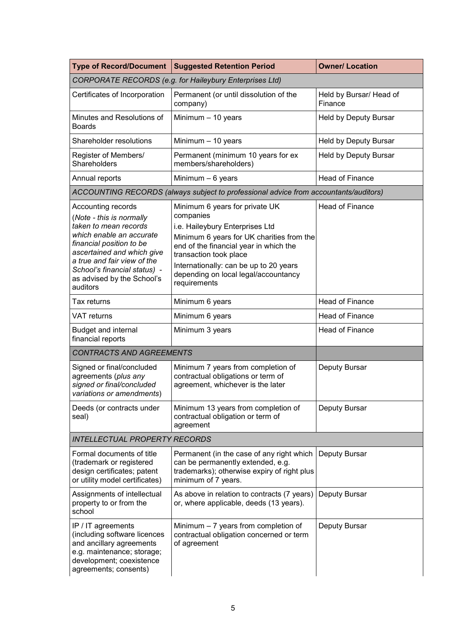| <b>Type of Record/Document</b>                                                                                                                                                                                                                                         | <b>Suggested Retention Period</b>                                                                                                                                                                                                                                                                 | <b>Owner/ Location</b>             |  |
|------------------------------------------------------------------------------------------------------------------------------------------------------------------------------------------------------------------------------------------------------------------------|---------------------------------------------------------------------------------------------------------------------------------------------------------------------------------------------------------------------------------------------------------------------------------------------------|------------------------------------|--|
| CORPORATE RECORDS (e.g. for Haileybury Enterprises Ltd)                                                                                                                                                                                                                |                                                                                                                                                                                                                                                                                                   |                                    |  |
| Certificates of Incorporation                                                                                                                                                                                                                                          | Permanent (or until dissolution of the<br>company)                                                                                                                                                                                                                                                | Held by Bursar/ Head of<br>Finance |  |
| Minutes and Resolutions of<br><b>Boards</b>                                                                                                                                                                                                                            | Minimum $-10$ years                                                                                                                                                                                                                                                                               | <b>Held by Deputy Bursar</b>       |  |
| Shareholder resolutions                                                                                                                                                                                                                                                | Minimum $-10$ years                                                                                                                                                                                                                                                                               | Held by Deputy Bursar              |  |
| Register of Members/<br>Shareholders                                                                                                                                                                                                                                   | Permanent (minimum 10 years for ex<br>members/shareholders)                                                                                                                                                                                                                                       | <b>Held by Deputy Bursar</b>       |  |
| Annual reports                                                                                                                                                                                                                                                         | Minimum $-6$ years                                                                                                                                                                                                                                                                                | <b>Head of Finance</b>             |  |
|                                                                                                                                                                                                                                                                        | ACCOUNTING RECORDS (always subject to professional advice from accountants/auditors)                                                                                                                                                                                                              |                                    |  |
| Accounting records<br>(Note - this is normally<br>taken to mean records<br>which enable an accurate<br>financial position to be<br>ascertained and which give<br>a true and fair view of the<br>School's financial status) -<br>as advised by the School's<br>auditors | Minimum 6 years for private UK<br>companies<br>i.e. Haileybury Enterprises Ltd<br>Minimum 6 years for UK charities from the<br>end of the financial year in which the<br>transaction took place<br>Internationally: can be up to 20 years<br>depending on local legal/accountancy<br>requirements | <b>Head of Finance</b>             |  |
| Tax returns                                                                                                                                                                                                                                                            | Minimum 6 years                                                                                                                                                                                                                                                                                   | <b>Head of Finance</b>             |  |
| <b>VAT</b> returns                                                                                                                                                                                                                                                     | Minimum 6 years                                                                                                                                                                                                                                                                                   | Head of Finance                    |  |
| <b>Budget and internal</b><br>financial reports                                                                                                                                                                                                                        | Minimum 3 years                                                                                                                                                                                                                                                                                   | <b>Head of Finance</b>             |  |
| <b>CONTRACTS AND AGREEMENTS</b>                                                                                                                                                                                                                                        |                                                                                                                                                                                                                                                                                                   |                                    |  |
| Signed or final/concluded<br>agreements (plus any<br>signed or final/concluded<br>variations or amendments)                                                                                                                                                            | Minimum 7 years from completion of<br>contractual obligations or term of<br>agreement, whichever is the later                                                                                                                                                                                     | Deputy Bursar                      |  |
| Deeds (or contracts under<br>seal)                                                                                                                                                                                                                                     | Minimum 13 years from completion of<br>contractual obligation or term of<br>agreement                                                                                                                                                                                                             | Deputy Bursar                      |  |
| <b>INTELLECTUAL PROPERTY RECORDS</b>                                                                                                                                                                                                                                   |                                                                                                                                                                                                                                                                                                   |                                    |  |
| Formal documents of title<br>(trademark or registered<br>design certificates; patent<br>or utility model certificates)                                                                                                                                                 | Permanent (in the case of any right which<br>can be permanently extended, e.g.<br>trademarks); otherwise expiry of right plus<br>minimum of 7 years.                                                                                                                                              | Deputy Bursar                      |  |
| Assignments of intellectual<br>property to or from the<br>school                                                                                                                                                                                                       | As above in relation to contracts (7 years)<br>or, where applicable, deeds (13 years).                                                                                                                                                                                                            | Deputy Bursar                      |  |
| IP / IT agreements<br>(including software licences<br>and ancillary agreements<br>e.g. maintenance; storage;<br>development; coexistence<br>agreements; consents)                                                                                                      | Minimum $-7$ years from completion of<br>contractual obligation concerned or term<br>of agreement                                                                                                                                                                                                 | Deputy Bursar                      |  |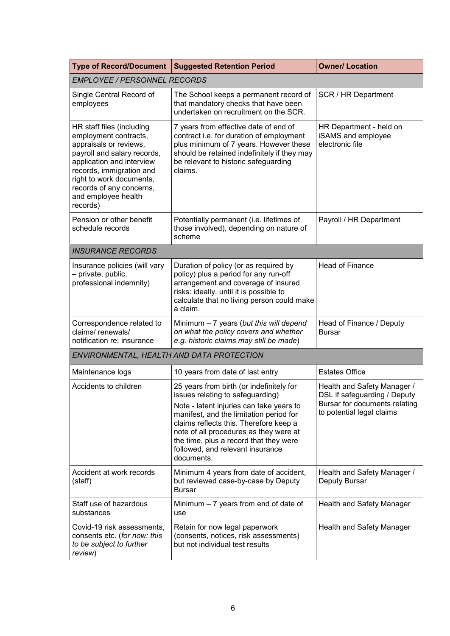| <b>Type of Record/Document</b>                                                                                                                                                                                                                                  | <b>Suggested Retention Period</b>                                                                                                                                                                                                                                                                                                                   | <b>Owner/ Location</b>                                                                                                    |
|-----------------------------------------------------------------------------------------------------------------------------------------------------------------------------------------------------------------------------------------------------------------|-----------------------------------------------------------------------------------------------------------------------------------------------------------------------------------------------------------------------------------------------------------------------------------------------------------------------------------------------------|---------------------------------------------------------------------------------------------------------------------------|
| <b>EMPLOYEE / PERSONNEL RECORDS</b>                                                                                                                                                                                                                             |                                                                                                                                                                                                                                                                                                                                                     |                                                                                                                           |
| Single Central Record of<br>employees                                                                                                                                                                                                                           | The School keeps a permanent record of<br>that mandatory checks that have been<br>undertaken on recruitment on the SCR.                                                                                                                                                                                                                             | SCR / HR Department                                                                                                       |
| HR staff files (including<br>employment contracts,<br>appraisals or reviews,<br>payroll and salary records,<br>application and interview<br>records, immigration and<br>right to work documents,<br>records of any concerns,<br>and employee health<br>records) | 7 years from effective date of end of<br>contract i.e. for duration of employment<br>plus minimum of 7 years. However these<br>should be retained indefinitely if they may<br>be relevant to historic safeguarding<br>claims.                                                                                                                       | HR Department - held on<br>iSAMS and employee<br>electronic file                                                          |
| Pension or other benefit<br>schedule records                                                                                                                                                                                                                    | Potentially permanent (i.e. lifetimes of<br>those involved), depending on nature of<br>scheme                                                                                                                                                                                                                                                       | Payroll / HR Department                                                                                                   |
| <b>INSURANCE RECORDS</b>                                                                                                                                                                                                                                        |                                                                                                                                                                                                                                                                                                                                                     |                                                                                                                           |
| Insurance policies (will vary<br>- private, public,<br>professional indemnity)                                                                                                                                                                                  | Duration of policy (or as required by<br>policy) plus a period for any run-off<br>arrangement and coverage of insured<br>risks: ideally, until it is possible to<br>calculate that no living person could make<br>a claim.                                                                                                                          | <b>Head of Finance</b>                                                                                                    |
| Correspondence related to<br>claims/renewals/<br>notification re: insurance                                                                                                                                                                                     | Minimum $-7$ years (but this will depend<br>on what the policy covers and whether<br>e.g. historic claims may still be made)                                                                                                                                                                                                                        | Head of Finance / Deputy<br><b>Bursar</b>                                                                                 |
| ENVIRONMENTAL, HEALTH AND DATA PROTECTION                                                                                                                                                                                                                       |                                                                                                                                                                                                                                                                                                                                                     |                                                                                                                           |
| Maintenance logs                                                                                                                                                                                                                                                | 10 years from date of last entry                                                                                                                                                                                                                                                                                                                    | <b>Estates Office</b>                                                                                                     |
| Accidents to children                                                                                                                                                                                                                                           | 25 years from birth (or indefinitely for<br>issues relating to safeguarding)<br>Note - latent injuries can take years to<br>manifest, and the limitation period for<br>claims reflects this. Therefore keep a<br>note of all procedures as they were at<br>the time, plus a record that they were<br>followed, and relevant insurance<br>documents. | Health and Safety Manager /<br>DSL if safeguarding / Deputy<br>Bursar for documents relating<br>to potential legal claims |
| Accident at work records<br>(staff)                                                                                                                                                                                                                             | Minimum 4 years from date of accident,<br>but reviewed case-by-case by Deputy<br><b>Bursar</b>                                                                                                                                                                                                                                                      | Health and Safety Manager /<br>Deputy Bursar                                                                              |
| Staff use of hazardous<br>substances                                                                                                                                                                                                                            | Minimum $-7$ years from end of date of<br>use                                                                                                                                                                                                                                                                                                       | <b>Health and Safety Manager</b>                                                                                          |
| Covid-19 risk assessments,<br>consents etc. (for now: this<br>to be subject to further<br>review)                                                                                                                                                               | Retain for now legal paperwork<br>(consents, notices, risk assessments)<br>but not individual test results                                                                                                                                                                                                                                          | Health and Safety Manager                                                                                                 |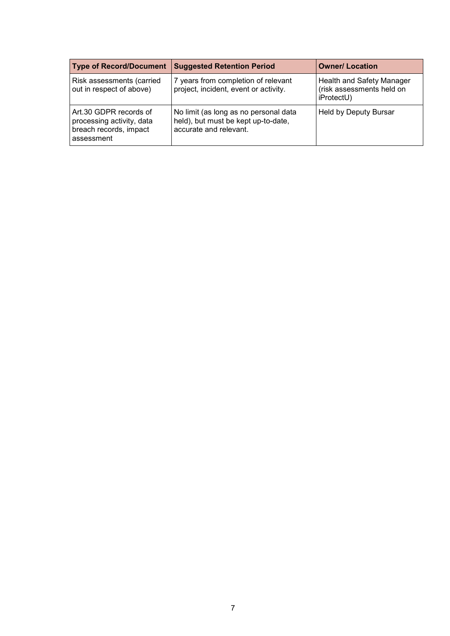| <b>Type of Record/Document</b>                                                              | <b>Suggested Retention Period</b>                                                                      | <b>Owner/ Location</b>                                               |
|---------------------------------------------------------------------------------------------|--------------------------------------------------------------------------------------------------------|----------------------------------------------------------------------|
| Risk assessments (carried<br>out in respect of above)                                       | 7 years from completion of relevant<br>project, incident, event or activity.                           | Health and Safety Manager<br>(risk assessments held on<br>iProtectU) |
| Art.30 GDPR records of<br>processing activity, data<br>breach records, impact<br>assessment | No limit (as long as no personal data<br>held), but must be kept up-to-date,<br>accurate and relevant. | Held by Deputy Bursar                                                |